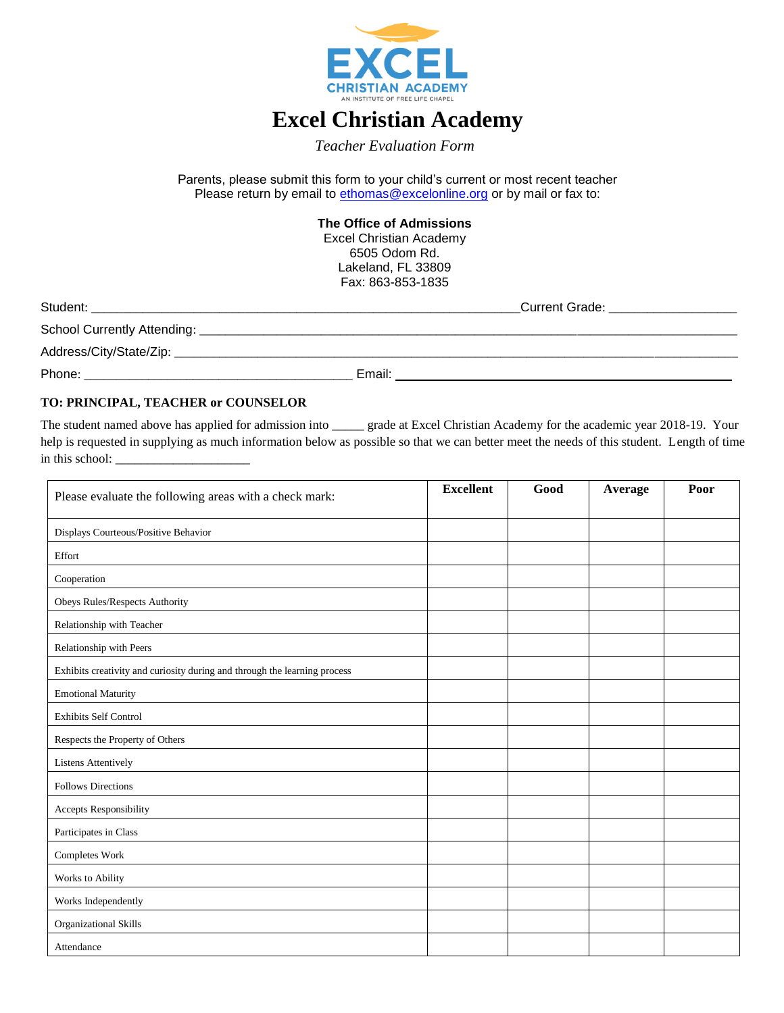

## **Excel Christian Academy**

*Teacher Evaluation Form*

Parents, please submit this form to your child's current or most recent teacher Please return by email to [ethomas@excelonline.org](mailto:ethomas@excelonline.org) or by mail or fax to:

> **The Office of Admissions** Excel Christian Academy 6505 Odom Rd. Lakeland, FL 33809 Fax: 863-853-1835

| Student:                    | Current Grade: |
|-----------------------------|----------------|
| School Currently Attending: |                |
| Address/City/State/Zip:     |                |
| Phone:                      | Email:         |

## **TO: PRINCIPAL, TEACHER or COUNSELOR**

The student named above has applied for admission into \_\_\_\_\_ grade at Excel Christian Academy for the academic year 2018-19. Your help is requested in supplying as much information below as possible so that we can better meet the needs of this student. Length of time in this school:

| Please evaluate the following areas with a check mark:                    | <b>Excellent</b> | Good | Average | Poor |
|---------------------------------------------------------------------------|------------------|------|---------|------|
| Displays Courteous/Positive Behavior                                      |                  |      |         |      |
| Effort                                                                    |                  |      |         |      |
| Cooperation                                                               |                  |      |         |      |
| Obeys Rules/Respects Authority                                            |                  |      |         |      |
| Relationship with Teacher                                                 |                  |      |         |      |
| Relationship with Peers                                                   |                  |      |         |      |
| Exhibits creativity and curiosity during and through the learning process |                  |      |         |      |
| <b>Emotional Maturity</b>                                                 |                  |      |         |      |
| Exhibits Self Control                                                     |                  |      |         |      |
| Respects the Property of Others                                           |                  |      |         |      |
| <b>Listens Attentively</b>                                                |                  |      |         |      |
| <b>Follows Directions</b>                                                 |                  |      |         |      |
| Accepts Responsibility                                                    |                  |      |         |      |
| Participates in Class                                                     |                  |      |         |      |
| Completes Work                                                            |                  |      |         |      |
| Works to Ability                                                          |                  |      |         |      |
| Works Independently                                                       |                  |      |         |      |
| Organizational Skills                                                     |                  |      |         |      |
| Attendance                                                                |                  |      |         |      |